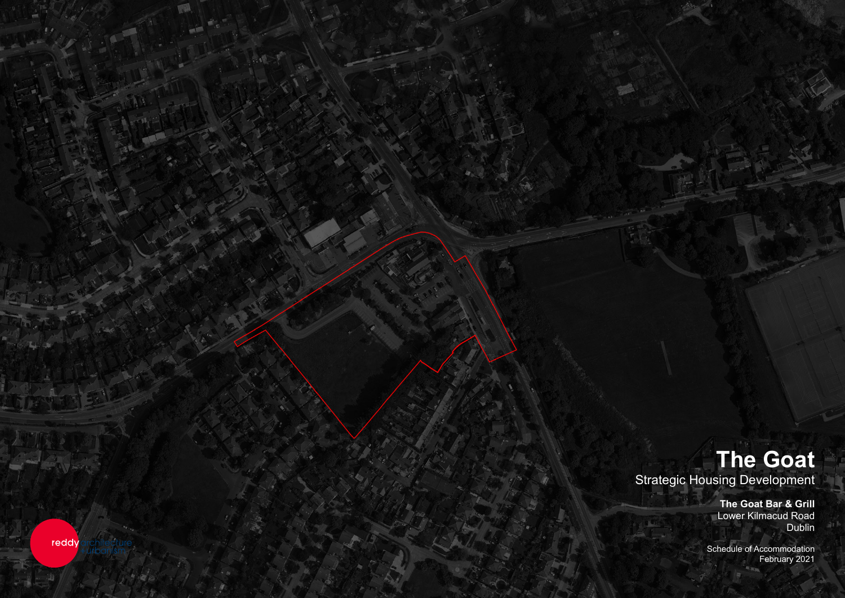

The Goat **The Goat** Strategic Housing Development<br>The Goat Bar & Grill<br>Lower Kilmacud Road

> nedule of Accommodation February 2021 Schedule of Accommodation February 2021

**The Goat Bar & Grill Lower Kilmacud Road Dublin** Dublin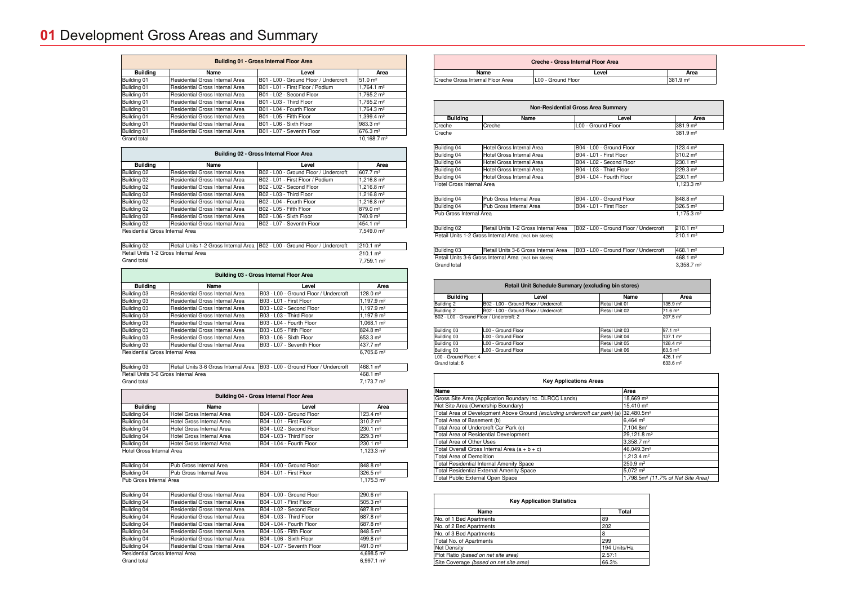| <b>Building 01 - Gross Internal Floor Area</b> |                                 |                                       |                       |
|------------------------------------------------|---------------------------------|---------------------------------------|-----------------------|
| <b>Building</b>                                | <b>Name</b>                     | Level                                 | Area                  |
| Building 01                                    | Residential Gross Internal Area | B01 - L00 - Ground Floor / Undercroft | 51.0 m <sup>2</sup>   |
| Building 01                                    | Residential Gross Internal Area | B01 - L01 - First Floor / Podium      | $1.764.1 \text{ m}^2$ |
| Building 01                                    | Residential Gross Internal Area | B01 - L02 - Second Floor              | 1.765.2 $m2$          |
| Building 01                                    | Residential Gross Internal Area | B01 - L03 - Third Floor               | 1.765.2 $m2$          |
| Building 01                                    | Residential Gross Internal Area | B01 - L04 - Fourth Floor              | 1,764.3 $m2$          |
| Building 01                                    | Residential Gross Internal Area | B01 - L05 - Fifth Floor               | 1.399.4 $m2$          |
| Building 01                                    | Residential Gross Internal Area | B01 - L06 - Sixth Floor               | 983.3 m <sup>2</sup>  |
| Building 01                                    | Residential Gross Internal Area | B01 - L07 - Seventh Floor             | 676.3 m <sup>2</sup>  |
| Grand total                                    |                                 |                                       | 10.168.7 $m2$         |

|  | $10,168.7 \text{ m}^2$ |
|--|------------------------|
|--|------------------------|

| Building 02 - Gross Internal Floor Area                   |                                 |                                       |                      |  |
|-----------------------------------------------------------|---------------------------------|---------------------------------------|----------------------|--|
| <b>Building</b>                                           | <b>Name</b>                     | Level                                 | Area                 |  |
| Building 02                                               | Residential Gross Internal Area | B02 - L00 - Ground Floor / Undercroft | 607.7 m <sup>2</sup> |  |
| Building 02                                               | Residential Gross Internal Area | B02 - L01 - First Floor / Podium      | 1,216.8 $m2$         |  |
| Building 02                                               | Residential Gross Internal Area | B02 - L02 - Second Floor              | 1,216.8 $m2$         |  |
| Building 02                                               | Residential Gross Internal Area | B02 - L03 - Third Floor               | 1,216.8 $m2$         |  |
| Building 02                                               | Residential Gross Internal Area | B02 - L04 - Fourth Floor              | 1,216.8 $m2$         |  |
| Building 02                                               | Residential Gross Internal Area | B02 - L05 - Fifth Floor               | 879.0 m <sup>2</sup> |  |
| Building 02                                               | Residential Gross Internal Area | B02 - L06 - Sixth Floor               | 740.9 m <sup>2</sup> |  |
| Building 02                                               | Residential Gross Internal Area | B02 - L07 - Seventh Floor             | 454.1 m <sup>2</sup> |  |
| 7.549.0 m <sup>2</sup><br>Residential Gross Internal Area |                                 |                                       |                      |  |

Building 02 Retail Units 1-2 Gross Internal Area | B02 - L00 - Ground Floor / Undercroft | 210.1 m<sup>2</sup> Retail Units 1-2 Gross Internal Area Grand total 7,759.1 m<sup>2</sup>

 $210.1 \text{ m}^2$ 

| <b>Building 03 - Gross Internal Floor Area</b> |                                 |                                       |                        |
|------------------------------------------------|---------------------------------|---------------------------------------|------------------------|
| <b>Building</b>                                | <b>Name</b>                     | Level                                 | Area                   |
| Building 03                                    | Residential Gross Internal Area | B03 - L00 - Ground Floor / Undercroft | $128.0 \text{ m}^2$    |
| Building 03                                    | Residential Gross Internal Area | B03 - L01 - First Floor               | 1,197.9 m <sup>2</sup> |
| Building 03                                    | Residential Gross Internal Area | B03 - L02 - Second Floor              | $1,197.9 \text{ m}^2$  |
| Building 03                                    | Residential Gross Internal Area | B03 - L03 - Third Floor               | 1,197.9 m <sup>2</sup> |
| Building 03                                    | Residential Gross Internal Area | B03 - L04 - Fourth Floor              | $1.068.1 \text{ m}^2$  |
| Building 03                                    | Residential Gross Internal Area | B03 - L05 - Fifth Floor               | 824.8 m <sup>2</sup>   |
| Building 03                                    | Residential Gross Internal Area | B03 - L06 - Sixth Floor               | 653.3 m <sup>2</sup>   |
| Building 03                                    | Residential Gross Internal Area | B03 - L07 - Seventh Floor             | 437.7 m <sup>2</sup>   |
| Residential Gross Internal Area                | $6,705.6$ m <sup>2</sup>        |                                       |                        |

| Building 03                          |  | Retail Units 3-6 Gross Internal Area   B03 - L00 - Ground Floor / Undercroft | 468.1 m <sup>2</sup>   |
|--------------------------------------|--|------------------------------------------------------------------------------|------------------------|
| Retail Units 3-6 Gross Internal Area |  |                                                                              | $468.1 \text{ m}^2$    |
| Grand total                          |  |                                                                              | 7.173.7 m <sup>2</sup> |

| Building 04 - Gross Internal Floor Area         |                           |                          |                      |  |  |
|-------------------------------------------------|---------------------------|--------------------------|----------------------|--|--|
| <b>Building</b><br><b>Name</b><br>Level<br>Area |                           |                          |                      |  |  |
| Building 04                                     | Hotel Gross Internal Area | B04 - L00 - Ground Floor | $123.4 \text{ m}^2$  |  |  |
| Building 04                                     | Hotel Gross Internal Area | B04 - L01 - First Floor  | 310.2 m <sup>2</sup> |  |  |
| Building 04                                     | Hotel Gross Internal Area | B04 - L02 - Second Floor | 230.1 m <sup>2</sup> |  |  |
| Building 04                                     | Hotel Gross Internal Area | B04 - L03 - Third Floor  | 229.3 m <sup>2</sup> |  |  |
| Building 04                                     | Hotel Gross Internal Area | B04 - L04 - Fourth Floor | 230.1 m <sup>2</sup> |  |  |
| 1.123.3 $m2$<br>Hotel Gross Internal Area       |                           |                          |                      |  |  |

| Building 04             | Pub Gross Internal Area  | B04 - L00 - Ground Floor | 848.8 m <sup>2</sup> |
|-------------------------|--------------------------|--------------------------|----------------------|
| Building 04             | IPub Gross Internal Area | IB04 - L01 - First Floor | $326.5 \text{ m}^2$  |
| Pub Gross Internal Area |                          |                          | $175.3 \text{ m}^2$  |

| Building 04                          | Residential Gross Internal Area | B04 - L00 - Ground Floor  | 290.6 m <sup>2</sup>  |  |
|--------------------------------------|---------------------------------|---------------------------|-----------------------|--|
| Building 04                          | Residential Gross Internal Area | B04 - L01 - First Floor   | 505.3 m <sup>2</sup>  |  |
| Building 04                          | Residential Gross Internal Area | B04 - L02 - Second Floor  | 1687.8 m <sup>2</sup> |  |
| Building 04                          | Residential Gross Internal Area | B04 - L03 - Third Floor   | 1687.8 m <sup>2</sup> |  |
| Building 04                          | Residential Gross Internal Area | B04 - L04 - Fourth Floor  | 687.8 m <sup>2</sup>  |  |
| Building 04                          | Residential Gross Internal Area | B04 - L05 - Fifth Floor   | 848.5 m <sup>2</sup>  |  |
| Building 04                          | Residential Gross Internal Area | B04 - L06 - Sixth Floor   | 499.8 m <sup>2</sup>  |  |
| Building 04                          | Residential Gross Internal Area | B04 - L07 - Seventh Floor | 491.0 m <sup>2</sup>  |  |
| Residential Gross Internal Area      |                                 |                           | 4,698.5 $m2$          |  |
| $6.997.1 \text{ m}^2$<br>Grand total |                                 |                           |                       |  |

| Creche - Gross Internal Floor Area |                    |                      |  |
|------------------------------------|--------------------|----------------------|--|
| Name                               | Level              | Area                 |  |
| Creche Gross Internal Floor Area   | LOO - Ground Floor | $1381.9 \text{ m}^2$ |  |

| <b>Non-Residential Gross Area Summary</b> |        |                    |                      |
|-------------------------------------------|--------|--------------------|----------------------|
| <b>Building</b>                           | Name   | Level              | Area                 |
| Creche                                    | Creche | L00 - Ground Floor | 381.9 m <sup>2</sup> |
| Creche                                    |        |                    | $381.9 \text{ m}^2$  |

| Building 04               | Hotel Gross Internal Area | B04 - L00 - Ground Floor | 123.4 m <sup>2</sup> |
|---------------------------|---------------------------|--------------------------|----------------------|
| Building 04               | Hotel Gross Internal Area | B04 - L01 - First Floor  | $1310.2 \text{ m}^2$ |
| Building 04               | Hotel Gross Internal Area | B04 - L02 - Second Floor | 230.1 m <sup>2</sup> |
| Building 04               | Hotel Gross Internal Area | B04 - L03 - Third Floor  | 229.3 m <sup>2</sup> |
| Building 04               | Hotel Gross Internal Area | B04 - L04 - Fourth Floor | 230.1 m <sup>2</sup> |
| Hotel Gross Internal Area |                           |                          | 1.123.3 $m2$         |
|                           |                           |                          |                      |

|                         | Building 04 | Pub Gross Internal Area   | B04 - L00 - Ground Floor | 848.8 m <sup>2</sup> |
|-------------------------|-------------|---------------------------|--------------------------|----------------------|
|                         | Building 04 | l Pub Gross Internal Area | IB04 - L01 - First Floor | 326.5 m <sup>2</sup> |
| Pub Gross Internal Area |             |                           |                          | 1.175.3 mª           |

Retail Units 1-2 Gross Internal Area B02 - L00 - Ground Floor / Retail Units 1-2 Gross Internal Area (incl. bin stores) 210.1 m<sup>2</sup><br>210.1 m<sup>2</sup>

Building 03 Retail Units 3-6 Gross Internal Area | B03 - L00 - Ground Floor / Retail Units 3-6 Gross Internal Area (incl. bin stores) example and the state of the store and the 468.1 m<sup>2</sup> Grand total

| <b>Key Applications Areas</b>                                              |                         |  |
|----------------------------------------------------------------------------|-------------------------|--|
| Name                                                                       | Area                    |  |
| Gross Site Area (Application Boundary inc. DLRCC Lands)                    | $18,669$ m <sup>2</sup> |  |
| Net Site Area (Ownership Boundary)                                         | $15.410 \text{ m}^2$    |  |
| Total Area of Development Above Ground (excluding undercroft car park) (a) | 32,480.5m <sup>2</sup>  |  |
| Total Area of Basement (b)                                                 | 6.464 $m2$              |  |
| Total Area of Undercroft Car Park (c)                                      | 7.104.8m <sup>2</sup>   |  |
| Total Area of Residential Development                                      | 29,121.8 m <sup>2</sup> |  |
| Total Area of Other Uses                                                   | $3.358.7 \text{ m}^2$   |  |
| Total Overall Gross Internal Area $(a + b + c)$                            | 46.049.3m <sup>2</sup>  |  |
| <b>Total Area of Demolition</b>                                            | 1,213.4 $m2$            |  |
| <b>Total Residential Internal Amenity Space</b>                            | $250.9 \text{ m}^2$     |  |
| <b>Total Residential External Amenity Space</b>                            | $5.072 \text{ m}^2$     |  |
| Total Public External Open Space                                           | 1.798.5 $m2$ /          |  |

| <b>Key Application Statistics</b>      |              |  |  |
|----------------------------------------|--------------|--|--|
| Name                                   | Total        |  |  |
| No. of 1 Bed Apartments                | 89           |  |  |
| No. of 2 Bed Apartments                | 202          |  |  |
| No. of 3 Bed Apartments                | 8            |  |  |
| Total No. of Apartments                | 299          |  |  |
| Net Density                            | 194 Units/Ha |  |  |
| Plot Ratio (based on net site area)    | 2.57:1       |  |  |
| Site Coverage (based on net site area) | 66.3%        |  |  |

| Retail Unit Schedule Summary (excluding bin stores) |                                       |                |                      |  |
|-----------------------------------------------------|---------------------------------------|----------------|----------------------|--|
| <b>Building</b>                                     | Level                                 | Name           | Area                 |  |
| Building 2                                          | B02 - L00 - Ground Floor / Undercroft | Retail Unit 01 | 135.9 m <sup>2</sup> |  |
| Building 2                                          | B02 - L00 - Ground Floor / Undercroft | Retail Unit 02 | 71.6 m <sup>2</sup>  |  |
| B02 - L00 - Ground Floor / Undercroft: 2            |                                       |                | $207.5 \text{ m}^2$  |  |

| Building 03           | L00 - Ground Floor | Retail Unit 03 | 197.1 m <sup>2</sup> |
|-----------------------|--------------------|----------------|----------------------|
| Building 03           | L00 - Ground Floor | Retail Unit 04 | 137.1 m <sup>2</sup> |
| Building 03           | L00 - Ground Floor | Retail Unit 05 | 128.4 m <sup>2</sup> |
| Building 03           | L00 - Ground Floor | Retail Unit 06 | 63.5 m <sup>2</sup>  |
| L00 - Ground Floor: 4 |                    |                | 426.1 m <sup>2</sup> |
| Grand total: 6        |                    |                | 633.6 m <sup>2</sup> |

| Grand total: 6 |  |
|----------------|--|
|                |  |

|                              |                                             | <b>Area</b>            |
|------------------------------|---------------------------------------------|------------------------|
|                              |                                             | 381.9 m <sup>2</sup>   |
|                              |                                             |                        |
|                              |                                             |                        |
|                              |                                             |                        |
|                              |                                             | Area                   |
|                              |                                             | $381.9 \text{ m}^2$    |
|                              |                                             | 381.9 m <sup>2</sup>   |
|                              |                                             | 123.4 m <sup>2</sup>   |
|                              |                                             | $310.2 \text{ m}^2$    |
|                              |                                             | 230.1 m <sup>2</sup>   |
|                              |                                             | 229.3 m <sup>2</sup>   |
|                              |                                             | 230.1 m <sup>2</sup>   |
|                              |                                             | 1,123.3 m <sup>2</sup> |
|                              |                                             | 848.8 m <sup>2</sup>   |
|                              |                                             | 326.5 m <sup>2</sup>   |
|                              |                                             | 1,175.3 m <sup>2</sup> |
| Undercroft                   |                                             | 210.1 m <sup>2</sup>   |
|                              |                                             | $210.1 \text{ m}^2$    |
|                              |                                             |                        |
| Undercroft                   |                                             | 468.1 m <sup>2</sup>   |
|                              |                                             | 468.1 m <sup>2</sup>   |
|                              |                                             | 3,358.7 m <sup>2</sup> |
|                              |                                             |                        |
| ۱                            |                                             |                        |
|                              |                                             | Area                   |
|                              | 135.9 m <sup>2</sup>                        |                        |
|                              | 71.6 m <sup>2</sup><br>207.5 m <sup>2</sup> |                        |
|                              |                                             |                        |
|                              | $97.1 \, \text{m}^2$                        |                        |
|                              | $137.1 \text{ m}^2$                         |                        |
|                              | $128.4 \text{ m}^2$<br>$63.5 \text{ m}^2$   |                        |
|                              | 426.1 m <sup>2</sup>                        |                        |
|                              | 633.6 m <sup>2</sup>                        |                        |
|                              |                                             |                        |
|                              |                                             |                        |
|                              |                                             |                        |
| 9 m <sup>2</sup>             |                                             |                        |
| 0 m <sup>2</sup>             |                                             |                        |
| 0.5 <sup>m²</sup>            |                                             |                        |
| m <sup>2</sup>               |                                             |                        |
| 8m <sup>2</sup>              |                                             |                        |
| 1.8 $m2$<br>7 m <sup>2</sup> |                                             |                        |
| 9.3 <sup>m2</sup>            |                                             |                        |
| 4 m <sup>2</sup>             |                                             |                        |
| m <sup>2</sup>               |                                             |                        |

.5m<sup>2</sup> (11.7% of Net Site Area)



## **01** Development Gross Areas and Summary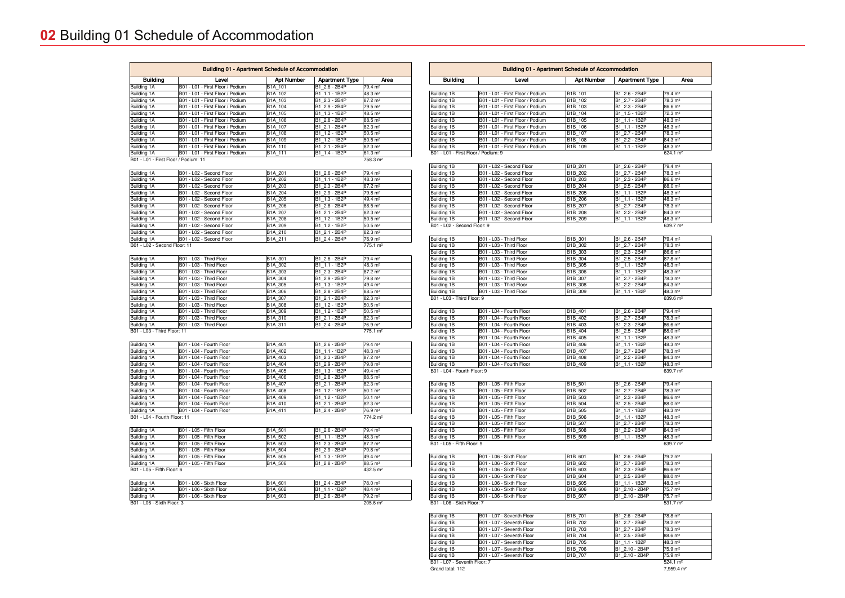| <b>Building</b>                                    | Level                                                  | <b>Apt Number</b>                | <b>Apartment Type</b>            | Area                                        |
|----------------------------------------------------|--------------------------------------------------------|----------------------------------|----------------------------------|---------------------------------------------|
|                                                    |                                                        |                                  |                                  |                                             |
| Building 1B                                        | B01 - L01 - First Floor / Podium                       | B1B 101                          | B1 2.6 - 2B4P                    | 79.4 m <sup>2</sup>                         |
| Building 1B                                        | B01 - L01 - First Floor / Podium                       | B1B 102                          | B1 2.7 - 2B4P                    | 78.3 m <sup>2</sup>                         |
| Building 1B                                        | B01 - L01 - First Floor / Podium                       | B <sub>1</sub> B_103             | B1 2.3 - 2B4P                    | $86.6 \; \text{m}^2$                        |
| Building 1B                                        | B01 - L01 - First Floor / Podium                       | B1B_104                          | B1 1.5 - 1B2P                    | 72.3 m <sup>2</sup>                         |
| Building 1B                                        | B01 - L01 - First Floor / Podium                       | B1B 105                          | B1_1.1 - 1B2P                    | 48.3 m <sup>2</sup>                         |
| Building 1B                                        | B01 - L01 - First Floor / Podium                       | B1B 106                          | B1 1.1 - 1B2P                    | 48.3 m <sup>2</sup>                         |
| Building 1B                                        | B01 - L01 - First Floor / Podium                       | B1B 107                          | B1 2.7 - 2B4P                    | 78.3 m <sup>2</sup>                         |
|                                                    | B01 - L01 - First Floor / Podium                       |                                  |                                  |                                             |
| Building 1B                                        |                                                        | B1B 108                          | B1 2.2 - 2B4P                    | 84.3 m <sup>2</sup>                         |
| Building 1B<br>B01 - L01 - First Floor / Podium: 9 | B01 - L01 - First Floor / Podium                       | B <sub>1</sub> B 109             | B1_1.1 - 1B2P                    | 48.3 m <sup>2</sup><br>624.1 m <sup>2</sup> |
|                                                    |                                                        |                                  |                                  |                                             |
| Building 1B                                        | B01 - L02 - Second Floor                               | B1B 201                          | B1 2.6 - 2B4P                    | 79.4 m <sup>2</sup>                         |
| Building 1B                                        | B01 - L02 - Second Floor                               | B1B 202                          | B1 2.7 - 2B4P                    | 78.3 m <sup>2</sup>                         |
| Building 1B                                        | B01 - L02 - Second Floor                               | B1B 203                          | B1 2.3 - 2B4P                    | $86.6 \; \text{m}^2$                        |
| Building 1B                                        | B01 - L02 - Second Floor                               | B1B 204                          | B1_2.5 - 2B4P                    | 88.0 m <sup>2</sup>                         |
| Building 1B                                        | B01 - L02 - Second Floor                               | B1B 205                          | B1 1.1 - 1B2P                    | 48.3 m <sup>2</sup>                         |
| Building 1B                                        | B01 - L02 - Second Floor                               | B1B 206                          | B1 1.1 - 1B2P                    | 48.3 m <sup>2</sup>                         |
| Building 1B                                        | B01 - L02 - Second Floor                               | B1B 207                          | B1 2.7 - 2B4P                    | 78.3 m <sup>2</sup>                         |
|                                                    |                                                        |                                  |                                  |                                             |
| Building 1B                                        | B01 - L02 - Second Floor                               | B1B 208                          | B1 2.2 - 2B4P                    | $84.3 \text{ m}^2$                          |
| Building 1B                                        | B01 - L02 - Second Floor                               | B1B 209                          | B1 1.1 - 1B2P                    | 48.3 m <sup>2</sup>                         |
| B01 - L02 - Second Floor: 9                        |                                                        |                                  |                                  | 639.7 m <sup>2</sup>                        |
|                                                    |                                                        |                                  |                                  |                                             |
| Building 1B                                        | B01 - L03 - Third Floor                                | B1B 301                          | B1 2.6 - 2B4P                    | 79.4 m <sup>2</sup>                         |
| Building 1B                                        | B01 - L03 - Third Floor                                | B1B 302                          | B1 2.7 - 2B4P                    | 78.3 m <sup>2</sup>                         |
| Building 1B                                        | B01 - L03 - Third Floor                                | B1B_303                          | B1 2.3 - 2B4P                    | $86.6 \text{ m}^2$                          |
| Building 1B                                        | B01 - L03 - Third Floor                                | B1B 304                          | B1 2.5 - 2B4P                    | $87.8 \text{ m}^2$                          |
| Building 1B                                        | B01 - L03 - Third Floor                                | B1B 305                          | B1 1.1 - 1B2P                    | 48.3 m <sup>2</sup>                         |
| Building 1B                                        | B01 - L03 - Third Floor                                | B1B 306                          | B1 1.1 - 1B2P                    | 48.3 m <sup>2</sup>                         |
| Building 1B                                        | B01 - L03 - Third Floor                                | B1B 307                          | B1 2.7 - 2B4P                    | 78.3 m <sup>2</sup>                         |
| Building 1B                                        | B01 - L03 - Third Floor                                | B1B 308                          | B1 2.2 - 2B4P                    | 84.3 m <sup>2</sup>                         |
|                                                    |                                                        |                                  |                                  |                                             |
| Building 1B                                        | B01 - L03 - Third Floor                                | B <sub>1</sub> B 309             | B1 1.1 - 1B2P                    | 48.3 m <sup>2</sup>                         |
| B01 - L03 - Third Floor: 9                         |                                                        |                                  |                                  | $639.6 \text{ m}^2$                         |
|                                                    |                                                        |                                  |                                  |                                             |
| Building 1B                                        | B01 - L04 - Fourth Floor                               | B1B 401                          | B1 2.6 - 2B4P                    | 79.4 m <sup>2</sup>                         |
|                                                    | B01 - L04 - Fourth Floor                               | B1B 402                          | B1_2.7 - 2B4P                    | 78.3 m <sup>2</sup>                         |
| Building 1B                                        |                                                        |                                  |                                  |                                             |
| <b>Building 1B</b>                                 | B01 - L04 - Fourth Floor                               | B <sub>1</sub> B_403             | B1 2.3 - 2B4P                    | $86.6 \; \text{m}^2$                        |
| Building 1B                                        | B01 - L04 - Fourth Floor                               | B1B 404                          | B1 2.5 - 2B4P                    | 88.0 m <sup>2</sup>                         |
| Building 1B                                        | B01 - L04 - Fourth Floor                               | B1B 405                          | B1 1.1 - 1B2P                    | 48.3 m <sup>2</sup>                         |
| <b>Building 1B</b>                                 | B01 - L04 - Fourth Floor                               | B1B 406                          | B1 1.1 - 1B2P                    | 48.3 m <sup>2</sup>                         |
|                                                    |                                                        |                                  |                                  |                                             |
| Building 1B                                        | B01 - L04 - Fourth Floor                               | B1B 407                          | B1 2.7 - 2B4P                    | 78.3 m <sup>2</sup>                         |
| Building 1B                                        | B01 - L04 - Fourth Floor                               | B1B 408                          | B1 2.2 - 2B4P                    | 84.3 m <sup>2</sup>                         |
| Building 1B                                        | B01 - L04 - Fourth Floor                               | B1B 409                          | B1 1.1 - 1B2P                    | 48.3 m <sup>2</sup>                         |
| B01 - L04 - Fourth Floor: 9                        |                                                        |                                  |                                  | 639.7 m <sup>2</sup>                        |
|                                                    |                                                        |                                  |                                  |                                             |
| Building 1B                                        | B01 - L05 - Fifth Floor                                | B <sub>1</sub> B 501             | B1_2.6 - 2B4P                    | 79.4 m <sup>2</sup>                         |
| Building 1B                                        | B01 - L05 - Fifth Floor                                | B1B 502                          | B1 2.7 - 2B4P                    | 78.3 m <sup>2</sup>                         |
| Building 1B                                        | B01 - L05 - Fifth Floor                                | B <sub>1</sub> B <sub>_503</sub> | B1_2.3 - 2B4P                    | 86.6 m <sup>2</sup>                         |
| Building 1B                                        | B01 - L05 - Fifth Floor                                | B1B_504                          | B1 2.5 - 2B4P                    | 88.0 m²                                     |
| Building 1B                                        | B01 - L05 - Fifth Floor                                | B <sub>1</sub> B <sub>_505</sub> | B1_1.1 - 1B2P                    | 48.3 m <sup>2</sup>                         |
| Building 1B                                        | B01 - L05 - Fifth Floor                                | B1B 506                          | B1 1.1 - 1B2P                    | 48.3 m <sup>2</sup>                         |
| <b>Building 1B</b>                                 | B01 - L05 - Fifth Floor                                | B <sub>1</sub> B <sub>_507</sub> | B1 2.7 - 2B4P                    | 78.3 m²                                     |
|                                                    |                                                        |                                  |                                  |                                             |
| Building 1B                                        | B01 - L05 - Fifth Floor                                | B <sub>1</sub> B <sub>_508</sub> | B1 2.2 - 2B4P                    | $84.3 \text{ m}^2$                          |
|                                                    | B01 - L05 - Fifth Floor                                | B <sub>1</sub> B <sub>_509</sub> | B1 1.1 - 1B2P                    | 48.3 m <sup>2</sup><br>639.7 m <sup>2</sup> |
| Building 1B<br>B01 - L05 - Fifth Floor: 9          |                                                        |                                  |                                  |                                             |
|                                                    |                                                        |                                  |                                  | 79.2 m <sup>2</sup>                         |
| Building 1B                                        | B01 - L06 - Sixth Floor                                | B1B_601                          | B1_2.6 - 2B4P                    |                                             |
| Building 1B                                        | B01 - L06 - Sixth Floor                                | B <sub>1</sub> B 602             | B1 2.7 - 2B4P                    | 78.3 m <sup>2</sup>                         |
| Building 1B                                        | B01 - L06 - Sixth Floor                                | B <sub>1</sub> B <sub>_603</sub> | B1 2.3 - 2B4P                    | $86.6 \, \text{m}^2$                        |
| Building 1B                                        | B01 - L06 - Sixth Floor                                | B <sub>1</sub> B 604             | B1 2.5 - 2B4P                    | $88.0 \; \text{m}^2$                        |
| Building 1B                                        | B01 - L06 - Sixth Floor                                | B1B_605                          | B1 1.1 - 1B2P                    | 48.3 m <sup>2</sup>                         |
| Building 1B                                        | B01 - L06 - Sixth Floor                                | B <sub>1</sub> B <sub>_606</sub> | B1 2.10 - 2B4P                   | 75.7 m <sup>2</sup>                         |
| Building 1B                                        | B01 - L06 - Sixth Floor                                | B <sub>1</sub> B 607             | B1 2.10 - 2B4P                   | 75.7 m <sup>2</sup>                         |
| B01 - L06 - Sixth Floor: 7                         |                                                        |                                  |                                  | $531.7 \text{ m}^2$                         |
|                                                    |                                                        |                                  |                                  |                                             |
| Building 1B                                        | B01 - L07 - Seventh Floor                              | B <sub>1</sub> B_701             | B1_2.6 - 2B4P                    | 78.8 m <sup>2</sup>                         |
| Building 1B                                        | B01 - L07 - Seventh Floor                              | B1B 702                          | B1 2.7 - 2B4P                    | 78.2 m <sup>2</sup>                         |
| Building 1B                                        | B01 - L07 - Seventh Floor                              | B <sub>1</sub> B_703             | B1 2.7 - 2B4P                    | 78.3 m²                                     |
|                                                    |                                                        |                                  |                                  |                                             |
| Building 1B                                        | B01 - L07 - Seventh Floor                              | B1B 704                          | B1 2.5 - 2B4P                    | $88.6 \text{ m}^2$                          |
| Building 1B                                        | B01 - L07 - Seventh Floor                              | B <sub>1</sub> B 705             | B1 1.1 - 1B2P                    | 48.3 m <sup>2</sup>                         |
| Building 1B<br>Building 1B                         | B01 - L07 - Seventh Floor<br>B01 - L07 - Seventh Floor | B1B 706<br>B <sub>1</sub> B_707  | B1 2.10 - 2B4P<br>B1 2.10 - 2B4P | 75.9 m <sup>2</sup><br>75.9 m <sup>2</sup>  |

| <b>Building</b>                            | Level                                                | <b>Apt Number</b>  | <b>Apartment Type</b>          | Area                                       |
|--------------------------------------------|------------------------------------------------------|--------------------|--------------------------------|--------------------------------------------|
| <b>Building 1A</b>                         | B01 - L01 - First Floor / Podium                     | B1A_101            | B1 2.6 - 2B4P                  | 79.4 m <sup>2</sup>                        |
| Building 1A                                | B01 - L01 - First Floor / Podium                     | B1A_102            | B1 1.1 - 1B2P                  | 48.3 m <sup>2</sup>                        |
| Building 1A                                | B01 - L01 - First Floor / Podium                     | B1A_103            | B1 2.3 - 2B4P                  | $87.2 \text{ m}^2$                         |
| Building 1A                                | B01 - L01 - First Floor / Podium                     | B1A 104            | B1 2.9 - 2B4P                  | 79.5 m <sup>2</sup>                        |
| Building 1A                                | B01 - L01 - First Floor / Podium                     | B1A_105            | B1_1.3 - 1B2P                  | 48.5 m <sup>2</sup>                        |
| Building 1A                                | B01 - L01 - First Floor / Podium                     | B1A_106            | B1 2.8 - 2B4P                  | $88.5 \; \text{m}^2$                       |
| Building 1A                                | B01 - L01 - First Floor / Podium                     | B1A_107            | B1 2.1 - 2B4P                  | $82.3 \text{ m}^2$                         |
| Building 1A                                | B01 - L01 - First Floor / Podium                     | B1A_108            | B1 1.2 - 1B2P                  | $50.5 \, \text{m}^2$                       |
| Building 1A                                | B01 - L01 - First Floor / Podium                     | B1A_109            | B1_1.2 - 1B2P                  | $50.5 \, \text{m}^2$                       |
| Building 1A                                | B01 - L01 - First Floor / Podium                     | B1A_110            | B1 2.1 - 2B4P                  | $82.3 \text{ m}^2$                         |
| Building 1A                                | B01 - L01 - First Floor / Podium                     | B1A_111            | B1 1.4 - 1B2P                  | $61.3 \text{ m}^2$                         |
| B01 - L01 - First Floor / Podium: 11       |                                                      |                    |                                | 758.3 m <sup>2</sup>                       |
|                                            |                                                      |                    |                                |                                            |
| Building 1A                                | B01 - L02 - Second Floor                             | B1A_201            | B1 2.6 - 2B4P                  | 79.4 m <sup>2</sup>                        |
| Building 1A                                | B01 - L02 - Second Floor                             | B1A_202            | B1 1.1 - 1B2P                  | 48.3 m <sup>2</sup>                        |
| Building 1A                                | B01 - L02 - Second Floor                             | B1A_203            | B1_2.3 - 2B4P                  | $87.2 \text{ m}^2$                         |
| Building 1A                                | B01 - L02 - Second Floor                             | B1A 204            | B1 2.9 - 2B4P                  | 79.8 m <sup>2</sup>                        |
| Building 1A                                | B01 - L02 - Second Floor                             | B1A_205            | B1 1.3 - 1B2P                  | 49.4 m <sup>2</sup>                        |
| <b>Building 1A</b>                         | B01 - L02 - Second Floor                             | B1A_206            | B1_2.8 - 2B4P                  | $88.5 \; \text{m}^2$                       |
| Building 1A                                | B01 - L02 - Second Floor                             | B1A_207            | B1 2.1 - 2B4P                  | $82.3 \text{ m}^2$                         |
| Building 1A                                | B01 - L02 - Second Floor                             | B1A_208            | B1 1.2 - 1B2P                  | $50.5 \; \text{m}^2$                       |
| Building 1A                                | B01 - L02 - Second Floor                             | B1A 209            | B1 1.2 - 1B2P                  | $50.5 \; \text{m}^2$                       |
| Building 1A                                | B01 - L02 - Second Floor                             | B1A_210            | B1_2.1 - 2B4P                  | $82.3 \text{ m}^2$                         |
| Building 1A                                | B01 - L02 - Second Floor                             | B1A_211            | B1 2.4 - 2B4P                  | 76.9 m <sup>2</sup>                        |
| B01 - L02 - Second Floor: 11               |                                                      |                    |                                | 775.1 m <sup>2</sup>                       |
|                                            |                                                      |                    |                                |                                            |
| Building 1A                                | B01 - L03 - Third Floor                              | B1A_301            | B1 2.6 - 2B4P                  | 79.4 m <sup>2</sup>                        |
| <b>Building 1A</b>                         | B01 - L03 - Third Floor                              | B1A_302            | B1 1.1 - 1B2P                  | 48.3 m <sup>2</sup>                        |
| Building 1A                                | B01 - L03 - Third Floor                              | B1A_303            | B1 2.3 - 2B4P                  | $87.2 \text{ m}^2$                         |
| <b>Building 1A</b>                         | B01 - L03 - Third Floor                              | B1A_304            | B1 2.9 - 2B4P                  | 79.8 m <sup>2</sup>                        |
| Building 1A                                | B01 - L03 - Third Floor                              | B1A_305            | B1 1.3 - 1B2P                  | 49.4 m <sup>2</sup>                        |
| Building 1A                                | B01 - L03 - Third Floor                              | B1A 306            | B1 2.8 - 2B4P                  | $88.5 \text{ m}^2$                         |
| Building 1A                                | B01 - L03 - Third Floor                              | B1A_307            | B1 2.1 - 2B4P                  | $82.3 \text{ m}^2$                         |
|                                            | B01 - L03 - Third Floor                              |                    |                                |                                            |
| Building 1A                                |                                                      | B1A_308            | B1_1.2 - 1B2P                  | $50.5 \, \text{m}^2$                       |
| Building 1A                                | B01 - L03 - Third Floor                              | B1A_309            | B1 1.2 - 1B2P                  | $50.5 \, \text{m}^2$                       |
| Building 1A                                | B01 - L03 - Third Floor                              | B1A_310            | B1 2.1 - 2B4P                  | $82.3 \text{ m}^2$                         |
| Building 1A<br>B01 - L03 - Third Floor: 11 | B01 - L03 - Third Floor                              | B1A_311            | B1 2.4 - 2B4P                  | 76.9 m <sup>2</sup>                        |
|                                            |                                                      |                    |                                | 775.1 m <sup>2</sup>                       |
| <b>Building 1A</b>                         | B01 - L04 - Fourth Floor                             | B1A 401            | B1 2.6 - 2B4P                  | 79.4 m <sup>2</sup>                        |
|                                            |                                                      |                    |                                |                                            |
| Building 1A                                | B01 - L04 - Fourth Floor<br>B01 - L04 - Fourth Floor | B1A 402            | B1 1.1 - 1B2P                  | 48.3 m <sup>2</sup>                        |
| Building 1A                                |                                                      | B1A_403            | B1_2.3 - 2B4P                  | $87.2 \text{ m}^2$                         |
| Building 1A                                | B01 - L04 - Fourth Floor                             | B1A_404            | B1 2.9 - 2B4P                  | 79.8 m <sup>2</sup>                        |
| Building 1A                                | B01 - L04 - Fourth Floor                             | B1A 405            | B1_1.3 - 1B2P                  | 49.4 m <sup>2</sup>                        |
| Building 1A                                | B01 - L04 - Fourth Floor                             | B1A_406            | B1 2.8 - 2B4P                  | $88.5 \; \text{m}^2$                       |
| Building 1A                                | B01 - L04 - Fourth Floor                             | B1A_407            | B1_2.1 - 2B4P                  | 82.3 m <sup>2</sup>                        |
| Building 1A                                | B01 - L04 - Fourth Floor                             | B1A 408            | B1 1.2 - 1B2P                  | $50.1 \text{ m}^2$                         |
| Building 1A                                | B01 - L04 - Fourth Floor                             | B1A 409            | B1_1.2 - 1B2P                  | $50.1 \, \text{m}^2$                       |
| Building 1A                                | B01 - L04 - Fourth Floor                             | B1A_410            | B1 2.1 - 2B4P                  | $82.3 \text{ m}^2$                         |
| Building 1A                                | B01 - L04 - Fourth Floor                             | B1A 411            | B1 2.4 - 2B4P                  | 76.9 m <sup>2</sup>                        |
| B01 - L04 - Fourth Floor: 11               |                                                      |                    |                                | 774.2 m <sup>2</sup>                       |
|                                            |                                                      |                    |                                |                                            |
| Building 1A                                | B01 - L05 - Fifth Floor                              | B1A_501            | B1 2.6 - 2B4P                  | 79.4 m <sup>2</sup>                        |
| Building 1A                                | B01 - L05 - Fifth Floor                              | B1A_502            | B1 1.1 - 1B2P                  | 48.3 m <sup>2</sup>                        |
| Building 1A                                | B01 - L05 - Fifth Floor                              | B1A_503            | B1 2.3 - 2B4P                  | $87.2 \text{ m}^2$                         |
| Building 1A                                | B01 - L05 - Fifth Floor                              | B1A_504            | B1_2.9 - 2B4P                  | 79.8 m <sup>2</sup>                        |
| Building 1A                                | B01 - L05 - Fifth Floor                              | B1A_505            | B1_1.3 - 1B2P                  | 49.4 m <sup>2</sup>                        |
| Building 1A                                | B01 - L05 - Fifth Floor                              | B1A_506            | B1 2.8 - 2B4P                  | $88.5 \; \text{m}^2$                       |
| B01 - L05 - Fifth Floor: 6                 |                                                      |                    |                                | 432.5 m <sup>2</sup>                       |
| Building 1A                                |                                                      |                    |                                |                                            |
|                                            | B01 - L06 - Sixth Floor                              | B1A_601            | B1 2.4 - 2B4P                  | 78.0 m <sup>2</sup>                        |
|                                            |                                                      |                    |                                |                                            |
| Building 1A<br>Building 1A                 | B01 - L06 - Sixth Floor<br>B01 - L06 - Sixth Floor   | B1A_602<br>B1A_603 | B1 1.1 - 1B2P<br>B1 2.6 - 2B4P | 48.4 m <sup>2</sup><br>79.2 m <sup>2</sup> |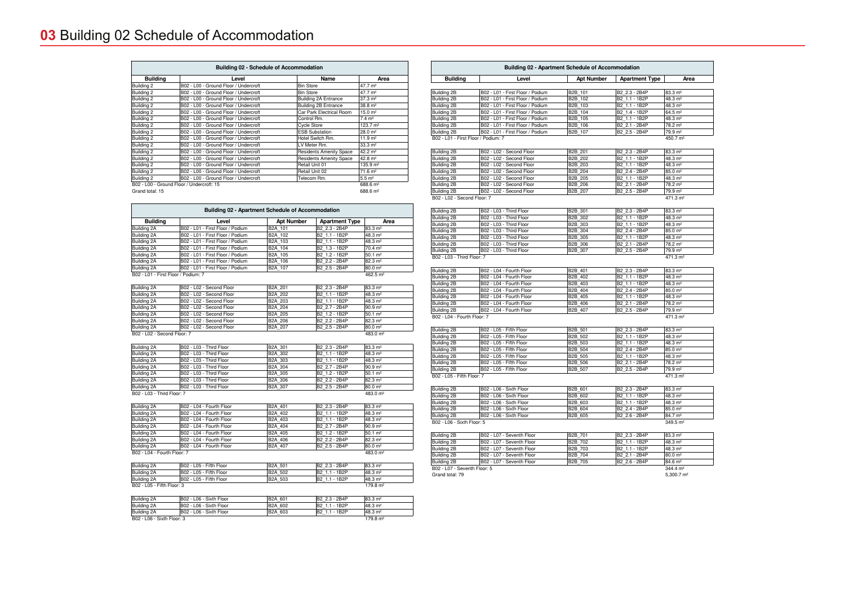- Do not scale from this drawing. Use figured dimensions in all cases.

|                                           |                                                    | <b>Building 02 - Apartment Schedule of Accommodation</b> |                       |                                             |
|-------------------------------------------|----------------------------------------------------|----------------------------------------------------------|-----------------------|---------------------------------------------|
| <b>Building</b>                           | Level                                              | <b>Apt Number</b>                                        | <b>Apartment Type</b> | Area                                        |
| uilding 2B                                | B02 - L01 - First Floor / Podium                   | B2B 101                                                  | B2 2.3 - 2B4P         | 83.3 m <sup>2</sup>                         |
| uilding 2B                                | B02 - L01 - First Floor / Podium                   | B2B 102                                                  | B2 1.1 - 1B2P         | 48.3 m <sup>2</sup>                         |
| uilding 2B                                | B02 - L01 - First Floor / Podium                   | B2B 103                                                  | B2 1.1 - 1B2P         | 48.3 m <sup>2</sup>                         |
| uilding 2B                                | B02 - L01 - First Floor / Podium                   | B2B 104                                                  | B2 1.4 - 1B2P         | $64.5 \; \text{m}^2$                        |
| uilding 2B                                | B02 - L01 - First Floor / Podium                   | B2B 105                                                  | B2 1.1 - 1B2P         | 48.3 m <sup>2</sup>                         |
| uilding 2B                                | B02 - L01 - First Floor / Podium                   | B2B 106                                                  | B2 2.1 - 2B4P         | 78.2 m <sup>2</sup>                         |
| uilding 2B                                | B02 - L01 - First Floor / Podium                   | B2B 107                                                  | B2 2.5 - 2B4P         | 79.9 m <sup>2</sup>                         |
| 02 - L01 - First Floor / Podium: 7        |                                                    |                                                          |                       | 450.7 m <sup>2</sup>                        |
|                                           |                                                    |                                                          |                       |                                             |
| uilding 2B                                | B02 - L02 - Second Floor                           | B2B 201                                                  | B2 2.3 - 2B4P         | $83.3 \text{ m}^2$                          |
| uilding 2B                                | B02 - L02 - Second Floor                           | B2B 202                                                  | B2 1.1 - 1B2P         | 48.3 m <sup>2</sup>                         |
| uilding 2B                                | B02 - L02 - Second Floor                           | B2B 203                                                  | B2 1.1 - 1B2P         | 48.3 m <sup>2</sup>                         |
| uilding 2B                                | B02 - L02 - Second Floor                           | B2B 204                                                  | B2 2.4 - 2B4P         | $85.0 \; \text{m}^2$                        |
| uilding 2B                                | B02 - L02 - Second Floor                           | B2B 205                                                  | B2 1.1 - 1B2P         | 48.3 m <sup>2</sup>                         |
| uilding 2B                                | B02 - L02 - Second Floor                           | B2B 206                                                  | B2 2.1 - 2B4P         | 78.2 m <sup>2</sup>                         |
| uilding 2B<br>02 - L02 - Second Floor: 7  | B02 - L02 - Second Floor                           | B2B 207                                                  | B2 2.5 - 2B4P         | 79.9 m <sup>2</sup><br>471.3 m <sup>2</sup> |
|                                           |                                                    |                                                          |                       |                                             |
| uilding 2B                                | B02 - L03 - Third Floor                            | B2B 301                                                  | B2 2.3 - 2B4P         | $83.3 \text{ m}^2$                          |
| uilding 2B                                | B02 - L03 - Third Floor                            | B2B 302                                                  | B2 1.1 - 1B2P         | 48.3 m <sup>2</sup>                         |
| uilding 2B                                | B02 - L03 - Third Floor                            | B2B 303                                                  | B2 1.1 - 1B2P         | 48.3 m <sup>2</sup>                         |
| uilding 2B                                | B02 - L03 - Third Floor                            | B2B 304                                                  | B2 2.4 - 2B4P         | $85.0 \; \text{m}^2$                        |
| uilding 2B                                | B02 - L03 - Third Floor                            | B2B 305                                                  | B2 1.1 - 1B2P         | 48.3 m <sup>2</sup>                         |
| uilding 2B                                | B02 - L03 - Third Floor                            | B2B 306                                                  | B2 2.1 - 2B4P         | 78.2 m <sup>2</sup>                         |
| uilding 2B                                | B02 - L03 - Third Floor                            | B2B 307                                                  | B2 2.5 - 2B4P         | 79.9 m <sup>2</sup>                         |
| 02 - L03 - Third Floor: 7                 |                                                    |                                                          |                       | 471.3 m <sup>2</sup>                        |
|                                           |                                                    |                                                          |                       |                                             |
| uilding 2B                                | B02 - L04 - Fourth Floor                           | B2B 401                                                  | B2 2.3 - 2B4P         | $83.3 \text{ m}^2$                          |
| uilding 2B                                | B02 - L04 - Fourth Floor                           | B2B 402                                                  | B2 1.1 - 1B2P         | 48.3 m <sup>2</sup>                         |
| uilding 2B                                | B02 - L04 - Fourth Floor                           | B2B 403                                                  | B2 1.1 - 1B2P         | 48.3 m <sup>2</sup>                         |
| uilding 2B                                | B02 - L04 - Fourth Floor                           | B2B 404                                                  | B2 2.4 - 2B4P         | $85.0 \; \text{m}^2$                        |
| uilding 2B                                | B02 - L04 - Fourth Floor                           | B2B 405                                                  | B2 1.1 - 1B2P         | 48.3 m <sup>2</sup>                         |
| uilding 2B                                | B02 - L04 - Fourth Floor                           | B2B 406                                                  | B2 2.1 - 2B4P         | 78.2 m <sup>2</sup>                         |
| uilding 2B                                | B02 - L04 - Fourth Floor                           | B2B_407                                                  | B2 2.5 - 2B4P         | 79.9 m <sup>2</sup>                         |
| 02 - L04 - Fourth Floor: 7                |                                                    |                                                          |                       | 471.3 m <sup>2</sup>                        |
| uilding 2B                                | B02 - L05 - Fifth Floor                            | B2B_501                                                  | B2 2.3 - 2B4P         | $83.3 \text{ m}^2$                          |
| uilding 2B                                | B02 - L05 - Fifth Floor                            | B2B 502                                                  | B2 1.1 - 1B2P         | 48.3 m <sup>2</sup>                         |
|                                           |                                                    |                                                          |                       |                                             |
| uilding 2B                                | B02 - L05 - Fifth Floor<br>B02 - L05 - Fifth Floor | B2B 503<br>B2B 504                                       | B2 1.1 - 1B2P         | 48.3 m <sup>2</sup>                         |
| uilding 2B                                |                                                    |                                                          | B2 2.4 - 2B4P         | 85.0 m <sup>2</sup>                         |
| uilding 2B                                | B02 - L05 - Fifth Floor                            | B2B 505                                                  | B2 1.1 - 1B2P         | 48.3 m <sup>2</sup>                         |
| uilding 2B                                | B02 - L05 - Fifth Floor                            | B2B 506                                                  | B2 2.1 - 2B4P         | 78.2 m <sup>2</sup>                         |
| uilding 2B<br>02 - L05 - Fifth Floor: 7   | B02 - L05 - Fifth Floor                            | B2B 507                                                  | B2 2.5 - 2B4P         | 79.9 m <sup>2</sup><br>471.3 m <sup>2</sup> |
|                                           |                                                    |                                                          |                       |                                             |
| uilding 2B                                | B02 - L06 - Sixth Floor                            | B2B 601                                                  | B2 2.3 - 2B4P         | $83.3 \text{ m}^2$                          |
| uilding 2B                                | B02 - L06 - Sixth Floor                            | B2B_602                                                  | B2 1.1 - 1B2P         | 48.3 m <sup>2</sup>                         |
| uilding 2B                                | B02 - L06 - Sixth Floor                            | B2B_603                                                  | B2_1.1 - 1B2P         | 48.3 m <sup>2</sup>                         |
| uilding 2B                                | B02 - L06 - Sixth Floor                            | B2B 604                                                  | B2 2.4 - 2B4P         | 85.0 m <sup>2</sup>                         |
| uilding 2B                                | B02 - L06 - Sixth Floor                            | B2B 605                                                  | B2 2.6 - 2B4P         | 84.7 m <sup>2</sup>                         |
| 02 - L06 - Sixth Floor: 5                 |                                                    |                                                          |                       | 349.5 m <sup>2</sup>                        |
| uilding 2B                                | B02 - L07 - Seventh Floor                          | B2B 701                                                  | B2 2.3 - 2B4P         | $83.3 \text{ m}^2$                          |
| uilding 2B                                | B02 - L07 - Seventh Floor                          | B2B 702                                                  | B2_1.1 - 1B2P         | 48.3 m <sup>2</sup>                         |
| uilding 2B                                | B02 - L07 - Seventh Floor                          | B2B 703                                                  | B2 1.1 - 1B2P         | 48.3 m <sup>2</sup>                         |
|                                           | B02 - L07 - Seventh Floor                          | B2B 704                                                  |                       |                                             |
| uilding 2B                                | B02 - L07 - Seventh Floor                          |                                                          | B2 2.1 - 2B4P         | $80.0 \; \text{m}^2$                        |
| uilding 2B<br>02 - L07 - Seventh Floor: 5 |                                                    | B2B 705                                                  | B2_2.6 - 2B4P         | 84.6 m <sup>2</sup><br>$344.4 \text{ m}^2$  |
| rand total: 79                            |                                                    |                                                          |                       | $5,300.7 \text{ m}^2$                       |
|                                           |                                                    |                                                          |                       |                                             |

| $1 -$       | <u> DUL LUI OUVUINIIUUI</u> | .              | ———————        | .                    |
|-------------|-----------------------------|----------------|----------------|----------------------|
| Building 2B | B02 - L07 - Seventh Floor   | B2B 702        | B2 1.1 - 1B2P  | 148.3 m <sup>2</sup> |
| Building 2B | B02 - L07 - Seventh Floor   | <b>B2B 703</b> | IB2 1.1 - 1B2P | 148.3 m <sup>2</sup> |
| Building 2B | IB02 - L07 - Seventh Floor  | B2B 704        | B2 2.1 - 2B4P  | 180.0 m <sup>2</sup> |
| Building 2B | IB02 - L07 - Seventh Floor  | IB2B 705       | IB2 2.6 - 2B4P | 184.6 m <sup>2</sup> |

rand total: 79

| <b>Building</b>                     | Level                            | <b>Apt Number</b> | <b>Apartment Type</b>     | Area                 |
|-------------------------------------|----------------------------------|-------------------|---------------------------|----------------------|
| Building 2A                         | B02 - L01 - First Floor / Podium | B2A 101           | B2 2.3 - 2B4P             | 83.3 m <sup>2</sup>  |
| Building 2A                         | B02 - L01 - First Floor / Podium | B2A 102           | B2 1.1 - 1B2P             | 48.3 m <sup>2</sup>  |
| Building 2A                         | B02 - L01 - First Floor / Podium | B2A 103           | B2 1.1 - 1B2P             | 48.3 m <sup>2</sup>  |
| Building 2A                         | B02 - L01 - First Floor / Podium | B2A 104           | B2 1.3 - 1B2P             | 70.4 m <sup>2</sup>  |
| Building 2A                         | B02 - L01 - First Floor / Podium | B2A 105           | B2 1.2 - 1B2P             | $50.1 \; \text{m}^2$ |
| Building 2A                         | B02 - L01 - First Floor / Podium | B2A 106           | B2 2.2 - 2B4P             | 82.3 m <sup>2</sup>  |
| Building 2A                         | B02 - L01 - First Floor / Podium | B2A 107           | B2 2.5 - 2B4P             | 80.0 m <sup>2</sup>  |
| B02 - L01 - First Floor / Podium: 7 |                                  |                   |                           | 462.5 m <sup>2</sup> |
| Building 2A                         | B02 - L02 - Second Floor         | B2A 201           | B2 2.3 - 2B4P             | 83.3 m <sup>2</sup>  |
| Building 2A                         | B02 - L02 - Second Floor         | B2A 202           | B2 1.1 - 1B2P             | 48.3 m <sup>2</sup>  |
| Building 2A                         | B02 - L02 - Second Floor         | B2A 203           | B2 1.1 - 1B2P             | 48.3 m <sup>2</sup>  |
| Building 2A                         | B02 - L02 - Second Floor         | <b>B2A_204</b>    | B2 2.7 - 2B4P             | $90.9 \text{ m}^2$   |
| Building 2A                         | B02 - L02 - Second Floor         | B2A 205           | B2 1.2 - 1B2P             | $50.1 \; \text{m}^2$ |
| Building 2A                         | B02 - L02 - Second Floor         | B2A 206           | B2 2.2 - 2B4P             | $82.3 \text{ m}^2$   |
| Building 2A                         | B02 - L02 - Second Floor         | B2A 207           | B <sub>2_2.5</sub> - 2B4P | 80.0 m <sup>2</sup>  |
| B02 - L02 - Second Floor: 7         |                                  |                   |                           | 483.0 m <sup>2</sup> |
| Building 2A                         | B02 - L03 - Third Floor          | B2A 301           | B2 2.3 - 2B4P             | 83.3 m <sup>2</sup>  |
| Building 2A                         | B02 - L03 - Third Floor          | B2A 302           | B2 1.1 - 1B2P             | 48.3 m <sup>2</sup>  |
| Building 2A                         | B02 - L03 - Third Floor          | B2A 303           | B2 1.1 - 1B2P             | 48.3 m <sup>2</sup>  |
| Building 2A                         | B02 - L03 - Third Floor          | B2A 304           | B2 2.7 - 2B4P             | $90.9 \, \text{m}^2$ |
| Building 2A                         | B02 - L03 - Third Floor          | B2A 305           | B2 1.2 - 1B2P             | $50.1 \, \text{m}^2$ |
| Building 2A                         | B02 - L03 - Third Floor          | B2A 306           | B2 2.2 - 2B4P             | 82.3 m <sup>2</sup>  |
| Building 2A                         | B02 - L03 - Third Floor          | B2A 307           | B2_2.5 - 2B4P             | 80.0 m <sup>2</sup>  |
| B02 - L03 - Third Floor: 7          |                                  |                   |                           | 483.0 m <sup>2</sup> |
| Building 2A                         | B02 - L04 - Fourth Floor         | B2A 401           | B2 2.3 - 2B4P             | 83.3 m <sup>2</sup>  |
| Building 2A                         | B02 - L04 - Fourth Floor         | B2A 402           | B2 1.1 - 1B2P             | 48.3 m <sup>2</sup>  |
| Building 2A                         | B02 - L04 - Fourth Floor         | B2A 403           | B2 1.1 - 1B2P             | 48.3 m <sup>2</sup>  |
| Building 2A                         | B02 - L04 - Fourth Floor         | B2A 404           | B2 2.7 - 2B4P             | $90.9 \; \text{m}^2$ |
| Building 2A                         | B02 - L04 - Fourth Floor         | B2A 405           | B2 1.2 - 1B2P             | $50.1 \, \text{m}^2$ |
| Building 2A                         | B02 - L04 - Fourth Floor         | B2A 406           | B2 2.2 - 2B4P             | 82.3 m <sup>2</sup>  |
| Building 2A                         | B02 - L04 - Fourth Floor         | B2A 407           | B2 2.5 - 2B4P             | 80.0 m <sup>2</sup>  |
| B02 - L04 - Fourth Floor: 7         |                                  |                   |                           | 483.0 m <sup>2</sup> |
| Building 2A                         | B02 - L05 - Fifth Floor          | B2A 501           | B2 2.3 - 2B4P             | 83.3 m <sup>2</sup>  |
| Building 2A                         | B02 - L05 - Fifth Floor          | B2A 502           | B2 1.1 - 1B2P             | 48.3 m <sup>2</sup>  |
| Building 2A                         | B02 - L05 - Fifth Floor          | B2A 503           | B2 1.1 - 1B2P             | 48.3 m <sup>2</sup>  |
| B02 - L05 - Fifth Floor: 3          |                                  |                   |                           | 179.8 m <sup>2</sup> |
| Building 2A                         | B02 - L06 - Sixth Floor          | B2A 601           | B2 2.3 - 2B4P             | 83.3 m <sup>2</sup>  |
| Building 2A                         | B02 - L06 - Sixth Floor          | B2A 602           | B2 1.1 - 1B2P             | 48.3 m <sup>2</sup>  |
| Building 2A                         | B02 - L06 - Sixth Floor          | B2A 603           | B2 1.1 - 1B2P             | 48.3 m <sup>2</sup>  |
| B02 - L06 - Sixth Floor: 3          |                                  |                   |                           | 179.8 m <sup>2</sup> |

B02 - L06 - Sixth Floor: 3

| <b>Building 02 - Schedule of Accommodation</b> |                                       |                                |                      |  |
|------------------------------------------------|---------------------------------------|--------------------------------|----------------------|--|
| <b>Building</b>                                | Level                                 | Name                           | Area                 |  |
| Building 2                                     | B02 - L00 - Ground Floor / Undercroft | <b>Bin Store</b>               | 47.7 m <sup>2</sup>  |  |
| Building 2                                     | B02 - L00 - Ground Floor / Undercroft | <b>Bin Store</b>               | 47.7 m <sup>2</sup>  |  |
| Building 2                                     | B02 - L00 - Ground Floor / Undercroft | <b>Building 2A Entrance</b>    | $37.3 \text{ m}^2$   |  |
| Building 2                                     | B02 - L00 - Ground Floor / Undercroft | <b>Building 2B Entrance</b>    | $38.8 \text{ m}^2$   |  |
| Building 2                                     | B02 - L00 - Ground Floor / Undercroft | Car Park Electrical Room       | $15.0 \text{ m}^2$   |  |
| Building 2                                     | B02 - L00 - Ground Floor / Undercroft | Control Rm.                    | $7.4 \text{ m}^2$    |  |
| Building 2                                     | B02 - L00 - Ground Floor / Undercroft | <b>Cycle Store</b>             | $123.7 \text{ m}^2$  |  |
| Building 2                                     | B02 - L00 - Ground Floor / Undercroft | <b>ESB Substation</b>          | $28.0 \text{ m}^2$   |  |
| Building 2                                     | B02 - L00 - Ground Floor / Undercroft | Hotel Switch Rm.               | $11.9 \text{ m}^2$   |  |
| Building 2                                     | B02 - L00 - Ground Floor / Undercroft | LV Meter Rm.                   | $33.3 \text{ m}^2$   |  |
| Building 2                                     | B02 - L00 - Ground Floor / Undercroft | <b>Residents Amenity Space</b> | $42.2 \text{ m}^2$   |  |
| Building 2                                     | B02 - L00 - Ground Floor / Undercroft | <b>Residents Amenity Space</b> | $42.8 \text{ m}^2$   |  |
| Building 2                                     | B02 - L00 - Ground Floor / Undercroft | Retail Unit 01                 | $135.9 \text{ m}^2$  |  |
| Building 2                                     | B02 - L00 - Ground Floor / Undercroft | Retail Unit 02                 | $71.6 \text{ m}^2$   |  |
| Building 2                                     | B02 - L00 - Ground Floor / Undercroft | Telecom Rm.                    | $5.5 \; \text{m}^2$  |  |
| B02 - L00 - Ground Floor / Undercroft: 15      |                                       |                                | 688.6 m <sup>2</sup> |  |
| Grand total: 15                                |                                       | 688.6 m <sup>2</sup>           |                      |  |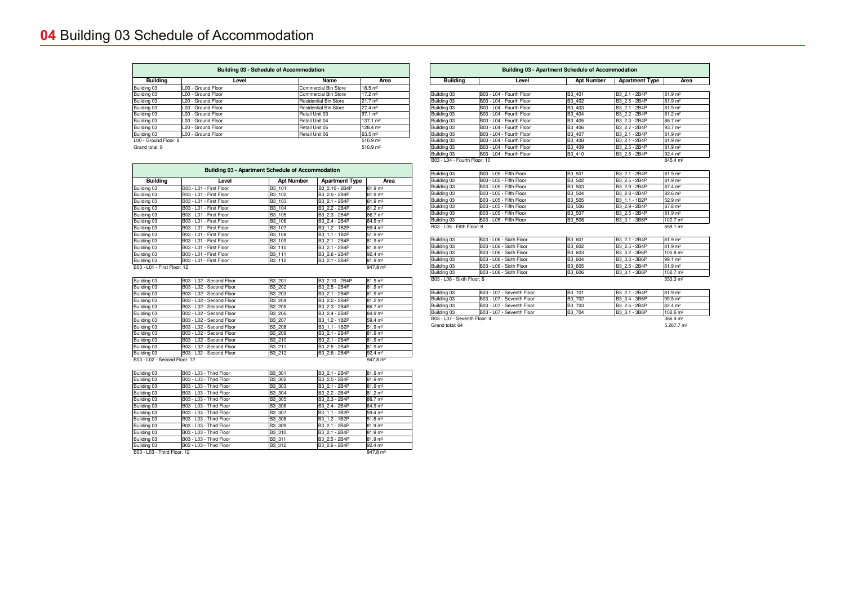| <b>Building</b>          | Level                     | <b>Apt Number</b> | <b>Apartment Type</b> | Area                 |
|--------------------------|---------------------------|-------------------|-----------------------|----------------------|
|                          |                           |                   |                       |                      |
| ding 03                  | B03 - L04 - Fourth Floor  | B3 401            | B3 2.1 - 2B4P         | 81.9 m <sup>2</sup>  |
| ting 03                  | B03 - L04 - Fourth Floor  | B3 402            | B3 2.5 - 2B4P         | $81.9 \text{ m}^2$   |
| ting 03                  | B03 - L04 - Fourth Floor  | B3 403            | B3 2.1 - 2B4P         | $81.9 \text{ m}^2$   |
| ding 03                  | B03 - L04 - Fourth Floor  | B3 404            | B3 2.2 - 2B4P         | $81.2 \text{ m}^2$   |
| ding 03                  | B03 - L04 - Fourth Floor  | B3 405            | B3 2.3 - 2B4P         | 86.7 m <sup>2</sup>  |
| ding 03                  | B03 - L04 - Fourth Floor  | B3 406            | B3 2.7 - 2B4P         | $93.7 \; \text{m}^2$ |
| ding 03                  | B03 - L04 - Fourth Floor  | B3 407            | B3 2.1 - 2B4P         | 81.9 m <sup>2</sup>  |
| ting 03                  | B03 - L04 - Fourth Floor  | B3 408            | B3 2.1 - 2B4P         | $81.9 \text{ m}^2$   |
| ting 03                  | B03 - L04 - Fourth Floor  | B3 409            | B3 2.5 - 2B4P         | $81.9 \text{ m}^2$   |
| ting 03                  | B03 - L04 - Fourth Floor  | B3 410            | B3 2.6 - 2B4P         | $92.4 \text{ m}^2$   |
| - L04 - Fourth Floor: 10 |                           |                   |                       | 845.4 m <sup>2</sup> |
| ting 03                  | B03 - L05 - Fifth Floor   | B3 501            | B3 2.1 - 2B4P         | $81.9 \; \text{m}^2$ |
| ting 03                  | B03 - L05 - Fifth Floor   | B3 502            | B3 2.5 - 2B4P         | $81.9 \; \text{m}^2$ |
| ting 03                  | B03 - L05 - Fifth Floor   | B3 503            | B3 2.9 - 2B4P         | 87.4 m <sup>2</sup>  |
| ting 03                  | B03 - L05 - Fifth Floor   | B3 504            | B3 2.8 - 2B4P         | 82.6 m <sup>2</sup>  |
| ting 03                  | B03 - L05 - Fifth Floor   | B3 505            | B3 1.1 - 1B2P         | 52.9 m <sup>2</sup>  |
| ting 03                  | B03 - L05 - Fifth Floor   | B3 506            | B3 2.9 - 2B4P         | 87.8 m <sup>2</sup>  |
| 1ing 03                  | B03 - L05 - Fifth Floor   | B3 507            | B3 2.5 - 2B4P         | $81.9 \, \text{m}^2$ |
| ting 03                  | B03 - L05 - Fifth Floor   | B3 508            | B3 3.1 - 3B6P         | 102.7 m <sup>2</sup> |
| - L05 - Fifth Floor: 8   |                           |                   |                       | 659.1 m <sup>2</sup> |
| ting 03                  | B03 - L06 - Sixth Floor   | B3 601            | B3 2.1 - 2B4P         | $81.9 \text{ m}^2$   |
| ting 03                  | B03 - L06 - Sixth Floor   | B3 602            | B3 2.5 - 2B4P         | $81.9 \text{ m}^2$   |
| ding 03                  | B03 - L06 - Sixth Floor   | B3 603            | B3 3.2 - 3B6P         | $105.8 \text{ m}^2$  |
| ding 03                  | B03 - L06 - Sixth Floor   | B3 604            | B3 3.3 - 3B6P         | $99.1 \text{ m}^2$   |
| ting 03                  | B03 - L06 - Sixth Floor   | B3 605            | B3 2.5 - 2B4P         | $81.9 \text{ m}^2$   |
| ting 03                  | B03 - L06 - Sixth Floor   | B3 606            | B3 3.1 - 3B6P         | $102.7 \text{ m}^2$  |
| - L06 - Sixth Floor: 6   |                           |                   |                       | 553.3 m <sup>2</sup> |
| ting 03                  | B03 - L07 - Seventh Floor | B3 701            | B3 2.1 - 2B4P         | 81.9 m <sup>2</sup>  |
| ting 03                  | B03 - L07 - Seventh Floor | B3 702            | B3 3.4 - 3B6P         | $99.5 \, \text{m}^2$ |
| dina 03                  | B03 - L07 - Seventh Floor | B3 703            | B3 2.5 - 2B4P         | 82.4 m <sup>2</sup>  |

| B4P | 82.4 m <sup>2</sup>   |
|-----|-----------------------|
| B6P | 102.6 m <sup>2</sup>  |
|     | $366.4 \; \text{m}^2$ |
|     |                       |

| Building 03                  | B03 - L04 - Fourth Floor | B3 401        | B3 2.1 - 2B4P | $81.9 \text{ m}^2$   |
|------------------------------|--------------------------|---------------|---------------|----------------------|
| Building 03                  | B03 - L04 - Fourth Floor | B3 402        | B3 2.5 - 2B4P | $81.9 \text{ m}^2$   |
| Building 03                  | B03 - L04 - Fourth Floor | B3 403        | B3 2.1 - 2B4P | $81.9 \; \text{m}^2$ |
| Building 03                  | B03 - L04 - Fourth Floor | B3 404        | B3 2.2 - 2B4P | $81.2 \text{ m}^2$   |
| Building 03                  | B03 - L04 - Fourth Floor | B3 405        | B3 2.3 - 2B4P | 86.7 m <sup>2</sup>  |
| Building 03                  | B03 - L04 - Fourth Floor | B3 406        | B3 2.7 - 2B4P | $93.7 \; \text{m}^2$ |
| Building 03                  | B03 - L04 - Fourth Floor | B3 407        | B3 2.1 - 2B4P | $81.9 \text{ m}^2$   |
| Building 03                  | B03 - L04 - Fourth Floor | B3 408        | B3 2.1 - 2B4P | $81.9 \text{ m}^2$   |
| Building 03                  | B03 - L04 - Fourth Floor | B3 409        | B3 2.5 - 2B4P | $81.9 \text{ m}^2$   |
| Building 03                  | B03 - L04 - Fourth Floor | B3 410        | B3 2.6 - 2B4P | $92.4 \text{ m}^2$   |
| B03 - L04 - Fourth Floor: 10 |                          |               |               | 845.4 m <sup>2</sup> |
|                              |                          |               |               |                      |
| Building 03                  | B03 - L05 - Fifth Floor  | B3 501        | B3 2.1 - 2B4P | $81.9 \text{ m}^2$   |
| Building 03                  | B03 - L05 - Fifth Floor  | B3 502        | B3 2.5 - 2B4P | $81.9 \text{ m}^2$   |
| Building 03                  | B03 - L05 - Fifth Floor  | B3 503        | B3 2.9 - 2B4P | $87.4 \; \text{m}^2$ |
| Building 03                  | B03 - L05 - Fifth Floor  | B3 504        | B3 2.8 - 2B4P | $82.6 \; \text{m}^2$ |
| Building 03                  | B03 - L05 - Fifth Floor  | B3 505        | B3 1.1 - 1B2P | $52.9 \; \text{m}^2$ |
| Building 03                  | B03 - L05 - Fifth Floor  | B3 506        | B3 2.9 - 2B4P | $87.8 \text{ m}^2$   |
| Building 03                  | B03 - L05 - Fifth Floor  | B3 507        | B3 2.5 - 2B4P | $81.9 \text{ m}^2$   |
| Building 03                  | B03 - L05 - Fifth Floor  | B3 508        | B3 3.1 - 3B6P | $102.7 \text{ m}^2$  |
| B03 - L05 - Fifth Floor: 8   |                          |               |               | 659.1 m <sup>2</sup> |
|                              |                          |               |               |                      |
| $D = 11.4$                   | $DOO = LOO = O(LALF)$    | <b>DO 004</b> | DA A A B A B  | منتهدما              |

| Building 03                | B03 - L06 - Sixth Floor  | B3 601 | B3 2.1 - 2B4P | $ 81.9 \text{ m}^2 $ |
|----------------------------|--------------------------|--------|---------------|----------------------|
| Building 03                | B03 - L06 - Sixth Floor  | B3 602 | B3 2.5 - 2B4P | $ 81.9 \text{ m}^2 $ |
| Building 03                | B03 - L06 - Sixth Floor  | B3 603 | B3 3.2 - 3B6P | 105.8 m <sup>2</sup> |
| Building 03                | B03 - L06 - Sixth Floor  | B3 604 | B3 3.3 - 3B6P | $99.1 \text{ m}^2$   |
| Building 03                | IB03 - L06 - Sixth Floor | B3 605 | B3 2.5 - 2B4P | 81.9 <sup>m²</sup>   |
| Building 03                | IB03 - L06 - Sixth Floor | B3 606 | B3 3.1 - 3B6P | 102.7 m <sup>2</sup> |
| B03 - L06 - Sixth Floor: 6 |                          |        |               | 553.3 m <sup>2</sup> |

| Building 03                  | B03 - L07 - Seventh Floor  | B3 701 | IB3 2.1 - 2B4P | $181.9 \text{ m}^2$   |
|------------------------------|----------------------------|--------|----------------|-----------------------|
| Building 03                  | B03 - L07 - Seventh Floor  | B3 702 | B3 3.4 - 3B6P  | $99.5 \text{ m}^2$    |
| Building 03                  | IB03 - L07 - Seventh Floor | B3 703 | IB3 2.5 - 2B4P | 82 4 m <sup>2</sup>   |
| Building 03                  | B03 - L07 - Seventh Floor  | B3 704 | IB3 3.1 - 3B6P | $102.6 \text{ m}^2$   |
| B03 - L07 - Seventh Floor: 4 |                            |        |                | $366.4 \text{ m}^2$   |
| Grand total: 64              |                            |        |                | $5.267.7 \text{ m}^2$ |
|                              |                            |        |                |                       |

| <b>Building 03 - Apartment Schedule of Accommodation</b> |                         |                   |                       |                     |  |
|----------------------------------------------------------|-------------------------|-------------------|-----------------------|---------------------|--|
| <b>Building</b>                                          | Level                   | <b>Apt Number</b> | <b>Apartment Type</b> | Area                |  |
| Building 03                                              | B03 - L01 - First Floor | B3 101            | B3 2.10 - 2B4P        | 81.9 m <sup>2</sup> |  |
| Building 03                                              | B03 - L01 - First Floor | B3 102            | B3 2.5 - 2B4P         | 81.9 m <sup>2</sup> |  |
| Building 03                                              | B03 - L01 - First Floor | B3 103            | B3 2.1 - 2B4P         | 81.9 m <sup>2</sup> |  |
| Building 03                                              | B03 - L01 - First Floor | B3 104            | B3 2.2 - 2B4P         | 81.2 m <sup>2</sup> |  |
| Building 03                                              | B03 - L01 - First Floor | B3 105            | B3 2.3 - 2B4P         | 86.7 m <sup>2</sup> |  |
| Building 03                                              | B03 - L01 - First Floor | B3 106            | B3 2.4 - 2B4P         | 84.9 m <sup>2</sup> |  |
| Building 03                                              | B03 - L01 - First Floor | B3 107            | B3 1.2 - 1B2P         | 59.4 m <sup>2</sup> |  |
| Building 03                                              | B03 - L01 - First Floor | B3 108            | B3 1.1 - 1B2P         | 51.9 m <sup>2</sup> |  |
| Building 03                                              | B03 - L01 - First Floor | B3 109            | B3 2.1 - 2B4P         | 81.9 m <sup>2</sup> |  |
| Building 03                                              | B03 - L01 - First Floor | <b>B3 110</b>     | B3 2.1 - 2B4P         | 81.9 m <sup>2</sup> |  |
| Building 03                                              | B03 - L01 - First Floor | B3 111            | B3 2.6 - 2B4P         | 92.4 m <sup>2</sup> |  |
| Building 03                                              | B03 - L01 - First Floor | B3 112            | B3 2.1 - 2B4P         | 81.9 m <sup>2</sup> |  |
| B03 - L01 - First Floor: 12                              |                         |                   |                       | $947.8 \text{ m}^2$ |  |

| Building 03                  | B03 - L02 - Second Floor | B3 201              | B3 2.10 - 2B4P | 81.9 m <sup>2</sup> |
|------------------------------|--------------------------|---------------------|----------------|---------------------|
| Building 03                  | B03 - L02 - Second Floor | B3 202              | B3 2.5 - 2B4P  | 81.9 m <sup>2</sup> |
| Building 03                  | B03 - L02 - Second Floor | B3 203              | B3 2.1 - 2B4P  | 81.9 m <sup>2</sup> |
| Building 03                  | B03 - L02 - Second Floor | B3 204              | B3 2.2 - 2B4P  | 81.2 m <sup>2</sup> |
| Building 03                  | B03 - L02 - Second Floor | B3 205              | B3 2.3 - 2B4P  | 86.7 m <sup>2</sup> |
| Building 03                  | B03 - L02 - Second Floor | B3 206              | B3 2.4 - 2B4P  | 84.9 m <sup>2</sup> |
| Building 03                  | B03 - L02 - Second Floor | B3 207              | B3 1.2 - 1B2P  | 59.4 m <sup>2</sup> |
| Building 03                  | B03 - L02 - Second Floor | B3 208              | B3 1.1 - 1B2P  | 51.9 m <sup>2</sup> |
| Building 03                  | B03 - L02 - Second Floor | B3 209              | B3 2.1 - 2B4P  | 81.9 m <sup>2</sup> |
| Building 03                  | B03 - L02 - Second Floor | B3 210              | B3 2.1 - 2B4P  | 81.9 m <sup>2</sup> |
| Building 03                  | B03 - L02 - Second Floor | B3 211              | B3 2.5 - 2B4P  | 81.9 m <sup>2</sup> |
| Building 03                  | B03 - L02 - Second Floor | B3 212              | B3 2.6 - 2B4P  | 92.4 m <sup>2</sup> |
| B03 - L02 - Second Floor: 12 |                          | $947.8 \text{ m}^2$ |                |                     |

| Building 03                 | B03 - L03 - Third Floor | B3 301 | B3 2.1 - 2B4P | 81.9 m <sup>2</sup> |
|-----------------------------|-------------------------|--------|---------------|---------------------|
| Building 03                 | B03 - L03 - Third Floor | B3 302 | B3 2.5 - 2B4P | 81.9 m <sup>2</sup> |
| Building 03                 | B03 - L03 - Third Floor | B3 303 | B3 2.1 - 2B4P | 81.9 m <sup>2</sup> |
| Building 03                 | B03 - L03 - Third Floor | B3 304 | B3 2.2 - 2B4P | 81.2 m <sup>2</sup> |
| Building 03                 | B03 - L03 - Third Floor | B3 305 | B3 2.3 - 2B4P | 86.7 m <sup>2</sup> |
| Building 03                 | B03 - L03 - Third Floor | B3 306 | B3 2.4 - 2B4P | 84.9 m <sup>2</sup> |
| Building 03                 | B03 - L03 - Third Floor | B3 307 | B3 1.1 - 1B2P | 59.4 m <sup>2</sup> |
| Building 03                 | B03 - L03 - Third Floor | B3 308 | B3 1.2 - 1B2P | 51.8 m <sup>2</sup> |
| Building 03                 | B03 - L03 - Third Floor | B3 309 | B3 2.1 - 2B4P | 81.9 m <sup>2</sup> |
| Building 03                 | B03 - L03 - Third Floor | B3 310 | B3 2.1 - 2B4P | 81.9 m <sup>2</sup> |
| Building 03                 | B03 - L03 - Third Floor | B3 311 | B3 2.5 - 2B4P | 81.9 m <sup>2</sup> |
| Building 03                 | B03 - L03 - Third Floor | B3 312 | B3 2.6 - 2B4P | 92.4 m <sup>2</sup> |
| B03 - L03 - Third Floor: 12 |                         |        |               | $947.8 \text{ m}^2$ |

| <b>Building 03 - Schedule of Accommodation</b> |                    |                       |                     |  |  |
|------------------------------------------------|--------------------|-----------------------|---------------------|--|--|
| <b>Building</b>                                | Level              | <b>Name</b>           | Area                |  |  |
| Building 03                                    | L00 - Ground Floor | Commercial Bin Store  | $18.5 \text{ m}^2$  |  |  |
| Building 03                                    | L00 - Ground Floor | Commercial Bin Store  | $17.2 \text{ m}^2$  |  |  |
| Building 03                                    | L00 - Ground Floor | Residential Bin Store | $21.7 \text{ m}^2$  |  |  |
| Building 03                                    | L00 - Ground Floor | Residential Bin Store | $27.4 \text{ m}^2$  |  |  |
| Building 03                                    | L00 - Ground Floor | Retail Unit 03        | $97.1 \text{ m}^2$  |  |  |
| Building 03                                    | L00 - Ground Floor | Retail Unit 04        | $137.1 \text{ m}^2$ |  |  |
| Building 03                                    | L00 - Ground Floor | Retail Unit 05        | $128.4 \text{ m}^2$ |  |  |
| Building 03                                    | L00 - Ground Floor | Retail Unit 06        | $63.5 \text{ m}^2$  |  |  |
| L00 - Ground Floor: 8                          |                    |                       | $510.9 \text{ m}^2$ |  |  |
| Grand total: 8                                 |                    |                       | $510.9 \text{ m}^2$ |  |  |